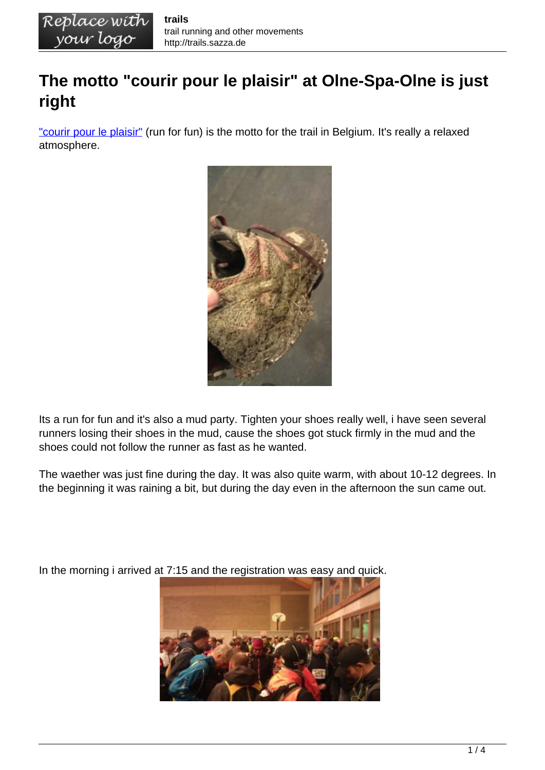## **The motto "courir pour le plaisir" at Olne-Spa-Olne is just right**

["courir pour le plaisir"](http://www.courirpourleplaisir.be) (run for fun) is the motto for the trail in Belgium. It's really a relaxed atmosphere.



Its a run for fun and it's also a mud party. Tighten your shoes really well, i have seen several runners losing their shoes in the mud, cause the shoes got stuck firmly in the mud and the shoes could not follow the runner as fast as he wanted.

The waether was just fine during the day. It was also quite warm, with about 10-12 degrees. In the beginning it was raining a bit, but during the day even in the afternoon the sun came out.

In the morning i arrived at 7:15 and the registration was easy and quick.

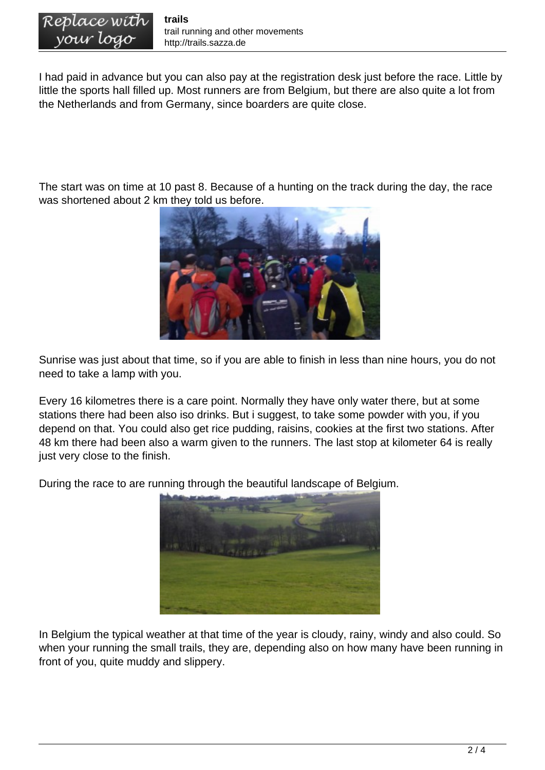I had paid in advance but you can also pay at the registration desk just before the race. Little by little the sports hall filled up. Most runners are from Belgium, but there are also quite a lot from the Netherlands and from Germany, since boarders are quite close.

The start was on time at 10 past 8. Because of a hunting on the track during the day, the race was shortened about 2 km they told us before.



Sunrise was just about that time, so if you are able to finish in less than nine hours, you do not need to take a lamp with you.

Every 16 kilometres there is a care point. Normally they have only water there, but at some stations there had been also iso drinks. But i suggest, to take some powder with you, if you depend on that. You could also get rice pudding, raisins, cookies at the first two stations. After 48 km there had been also a warm given to the runners. The last stop at kilometer 64 is really just very close to the finish.

During the race to are running through the beautiful landscape of Belgium.



In Belgium the typical weather at that time of the year is cloudy, rainy, windy and also could. So when your running the small trails, they are, depending also on how many have been running in front of you, quite muddy and slippery.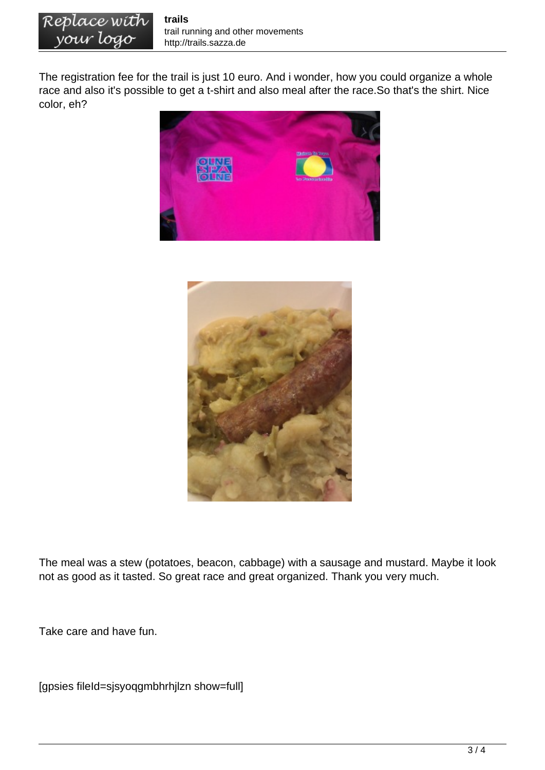The registration fee for the trail is just 10 euro. And i wonder, how you could organize a whole race and also it's possible to get a t-shirt and also meal after the race.So that's the shirt. Nice color, eh?





The meal was a stew (potatoes, beacon, cabbage) with a sausage and mustard. Maybe it look not as good as it tasted. So great race and great organized. Thank you very much.

Take care and have fun.

[gpsies fileId=sjsyoqgmbhrhjlzn show=full]